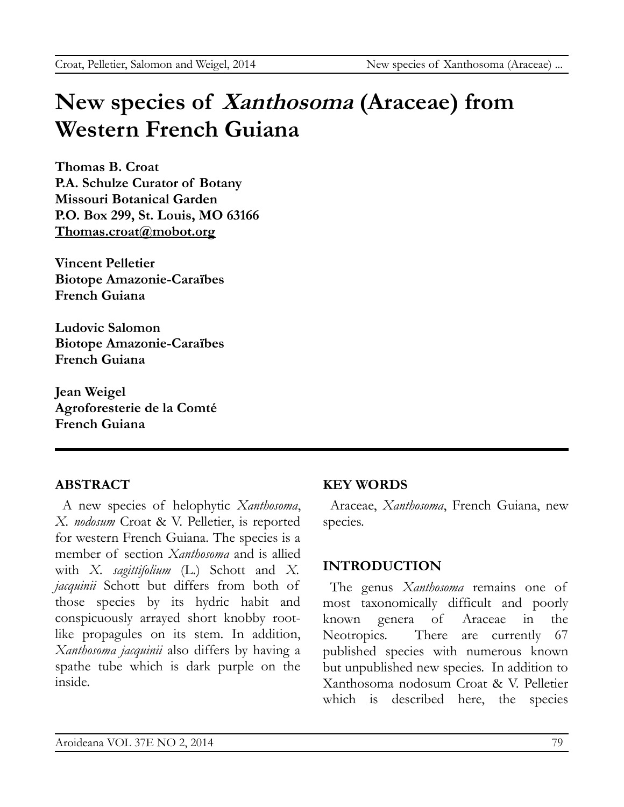# **New species of Xanthosoma (Araceae) from Western French Guiana**

**Thomas B. Croat P.A. Schulze Curator of Botany Missouri Botanical Garden P.O. Box 299, St. Louis, MO 63166 [Thomas.croat@mobot.org](mailto:Thomas.croat@mobot.org)**

**Vincent Pelletier Biotope Amazonie-Caraïbes French Guiana**

**Ludovic Salomon Biotope Amazonie-Caraïbes French Guiana**

**Jean Weigel Agroforesterie de la Comté French Guiana**

# **ABSTRACT**

A new species of helophytic *Xanthosoma*, *X. nodosum* Croat & V. Pelletier, is reported for western French Guiana. The species is a member of section *Xanthosoma* and is allied with *X. sagittifolium* (L.) Schott and *X. jacquinii* Schott but differs from both of those species by its hydric habit and conspicuously arrayed short knobby rootlike propagules on its stem. In addition, *Xanthosoma jacquinii* also differs by having a spathe tube which is dark purple on the inside.

# **KEY WORDS**

Araceae, *Xanthosoma*, French Guiana, new species.

# **INTRODUCTION**

The genus *Xanthosoma* remains one of most taxonomically difficult and poorly known genera of Araceae in the Neotropics. There are currently 67 published species with numerous known but unpublished new species. In addition to Xanthosoma nodosum Croat & V. Pelletier which is described here, the species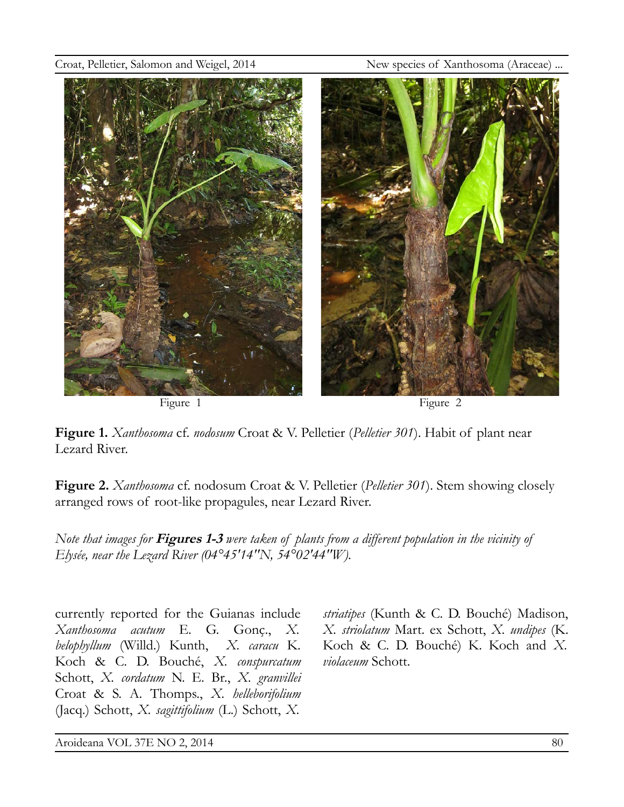



**Figure 1.** *Xanthosoma* cf. *nodosum* Croat & V. Pelletier (*Pelletier 301*). Habit of plant near Lezard River.

**Figure 2.** *Xanthosoma* cf. nodosum Croat & V. Pelletier (*Pelletier 301*). Stem showing closely arranged rows of root-like propagules, near Lezard River.

*Note that images for* **Figures 1-3** *were taken of plants from a different population in the vicinity of Elysée, near the Lezard River (04°45'14''N, 54°02'44''W).*

currently reported for the Guianas include *Xanthosoma acutum* E. G. Gonç., *X. belophyllum* (Willd.) Kunth, *X. caracu* K. Koch & C. D. Bouché, *X. conspurcatum* Schott, *X. cordatum* N. E. Br., *X. granvillei* Croat & S. A. Thomps., *X. helleborifolium* (Jacq.) Schott, *X. sagittifolium* (L.) Schott, *X.*

*striatipes* (Kunth & C. D. Bouché) Madison, *X. striolatum* Mart. ex Schott, *X. undipes* (K. Koch & C. D. Bouché) K. Koch and *X. violaceum* Schott.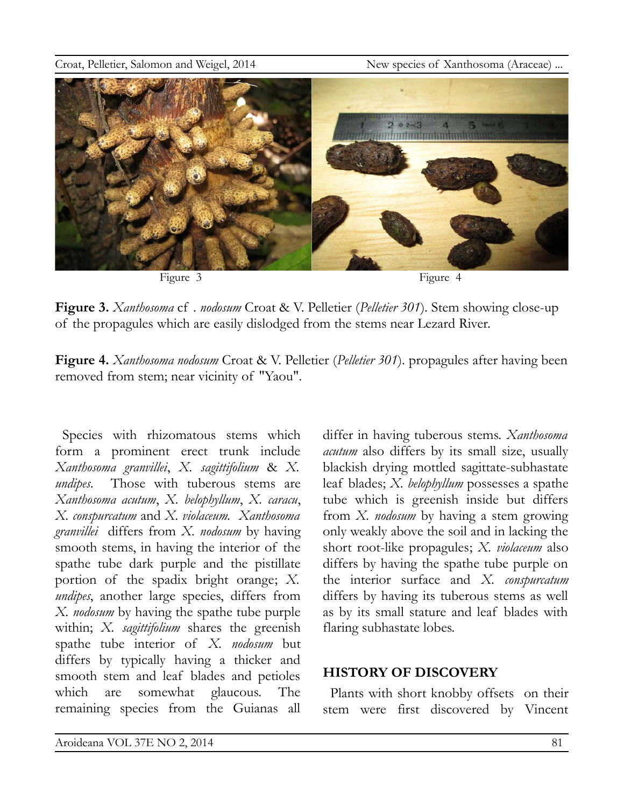

**Figure 3.** *Xanthosoma* cf . *nodosum* Croat & V. Pelletier (*Pelletier 301*)*.* Stem showing close-up of the propagules which are easily dislodged from the stems near Lezard River.

**Figure 4.** *Xanthosoma nodosum* Croat & V. Pelletier (*Pelletier 301*). propagules after having been removed from stem; near vicinity of "Yaou".

Species with rhizomatous stems which form a prominent erect trunk include *Xanthosoma granvillei*, *X. sagittifolium* & *X. undipes*. Those with tuberous stems are *Xanthosoma acutum*, *X. belophyllum*, *X. caracu*, *X. conspurcatum* and *X. violaceum. Xanthosoma granvillei* differs from *X. nodosum* by having smooth stems, in having the interior of the spathe tube dark purple and the pistillate portion of the spadix bright orange; *X. undipes*, another large species, differs from *X. nodosum* by having the spathe tube purple within; *X. sagittifolium* shares the greenish spathe tube interior of *X. nodosum* but differs by typically having a thicker and smooth stem and leaf blades and petioles which are somewhat glaucous. The remaining species from the Guianas all

differ in having tuberous stems. *Xanthosoma acutum* also differs by its small size, usually blackish drying mottled sagittate-subhastate leaf blades; *X. belophyllum* possesses a spathe tube which is greenish inside but differs from *X. nodosum* by having a stem growing only weakly above the soil and in lacking the short root-like propagules; *X. violaceum* also differs by having the spathe tube purple on the interior surface and *X. conspurcatum* differs by having its tuberous stems as well as by its small stature and leaf blades with flaring subhastate lobes.

## **HISTORY OF DISCOVERY**

Plants with short knobby offsets on their stem were first discovered by Vincent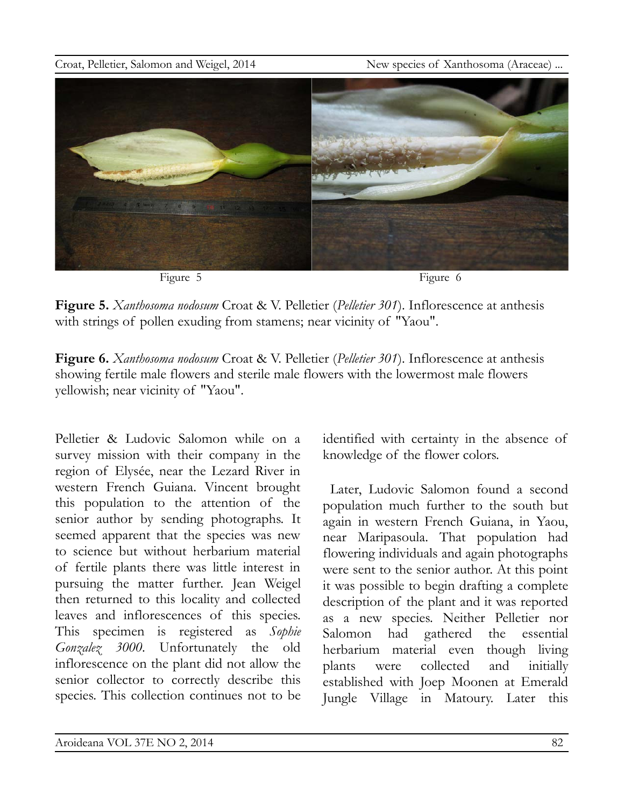

**Figure 5.** *Xanthosoma nodosum* Croat & V. Pelletier (*Pelletier 301*). Inflorescence at anthesis with strings of pollen exuding from stamens; near vicinity of "Yaou".

**Figure 6.** *Xanthosoma nodosum* Croat & V. Pelletier (*Pelletier 301*). Inflorescence at anthesis showing fertile male flowers and sterile male flowers with the lowermost male flowers yellowish; near vicinity of "Yaou".

Pelletier & Ludovic Salomon while on a survey mission with their company in the region of Elysée, near the Lezard River in western French Guiana. Vincent brought this population to the attention of the senior author by sending photographs. It seemed apparent that the species was new to science but without herbarium material of fertile plants there was little interest in pursuing the matter further. Jean Weigel then returned to this locality and collected leaves and inflorescences of this species. This specimen is registered as *Sophie Gonzalez 3000*. Unfortunately the old inflorescence on the plant did not allow the senior collector to correctly describe this species. This collection continues not to be

identified with certainty in the absence of knowledge of the flower colors.

Later, Ludovic Salomon found a second population much further to the south but again in western French Guiana, in Yaou, near Maripasoula. That population had flowering individuals and again photographs were sent to the senior author. At this point it was possible to begin drafting a complete description of the plant and it was reported as a new species. Neither Pelletier nor Salomon had gathered the essential herbarium material even though living plants were collected and initially established with Joep Moonen at Emerald Jungle Village in Matoury. Later this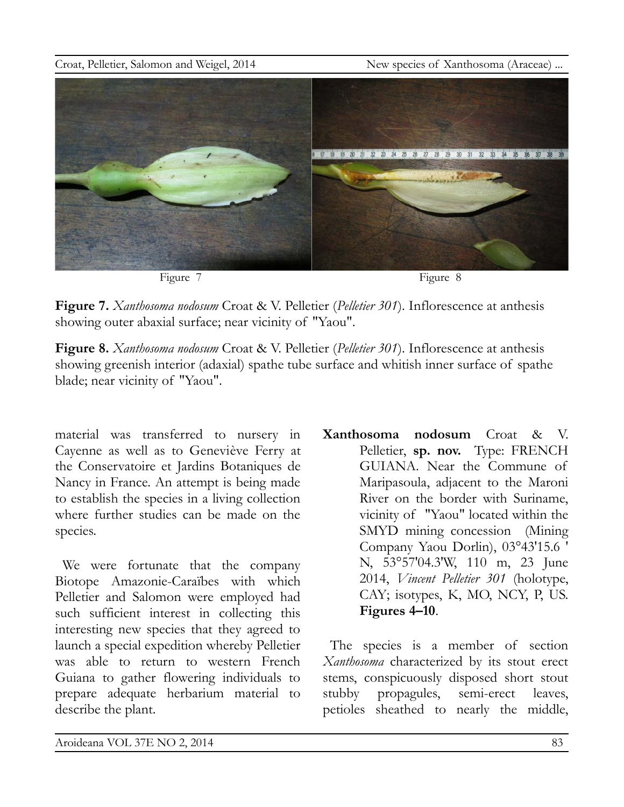

**Figure 7.** *Xanthosoma nodosum* Croat & V. Pelletier (*Pelletier 301*). Inflorescence at anthesis showing outer abaxial surface; near vicinity of "Yaou".

**Figure 8.** *Xanthosoma nodosum* Croat & V. Pelletier (*Pelletier 301*). Inflorescence at anthesis showing greenish interior (adaxial) spathe tube surface and whitish inner surface of spathe blade; near vicinity of "Yaou".

material was transferred to nursery in Cayenne as well as to Geneviève Ferry at the Conservatoire et Jardins Botaniques de Nancy in France. An attempt is being made to establish the species in a living collection where further studies can be made on the species.

We were fortunate that the company Biotope Amazonie-Caraïbes with which Pelletier and Salomon were employed had such sufficient interest in collecting this interesting new species that they agreed to launch a special expedition whereby Pelletier was able to return to western French Guiana to gather flowering individuals to prepare adequate herbarium material to describe the plant.

**Xanthosoma nodosum** Croat & V. Pelletier, **sp. nov.** Type: FRENCH GUIANA. Near the Commune of Maripasoula, adjacent to the Maroni River on the border with Suriname, vicinity of "Yaou" located within the SMYD mining concession (Mining Company Yaou Dorlin), 03°43'15.6 ' N, 53°57'04.3'W, 110 m, 23 June 2014, *Vincent Pelletier 301* (holotype, CAY; isotypes, K, MO, NCY, P, US. **Figures 4–10**.

The species is a member of section *Xanthosoma* characterized by its stout erect stems, conspicuously disposed short stout stubby propagules, semi-erect leaves, petioles sheathed to nearly the middle,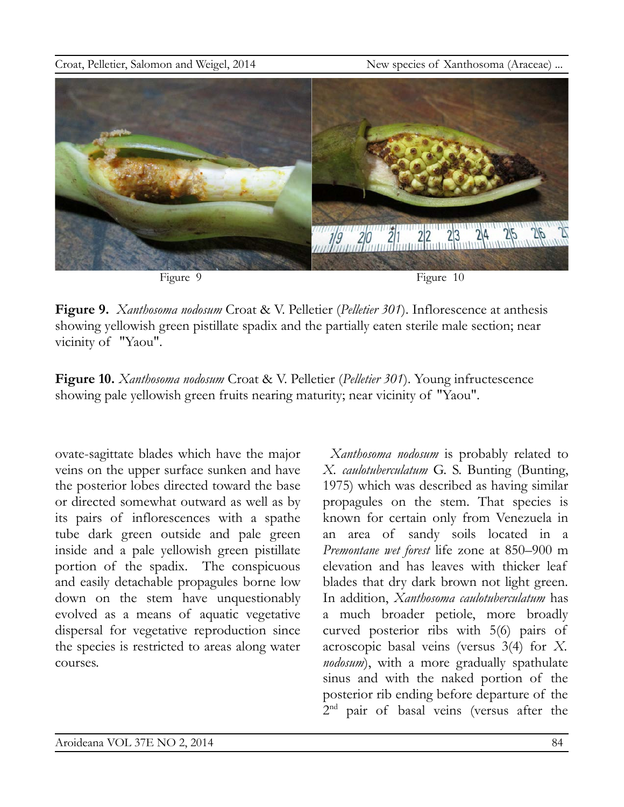

**Figure 9.** *Xanthosoma nodosum* Croat & V. Pelletier (*Pelletier 301*). Inflorescence at anthesis showing yellowish green pistillate spadix and the partially eaten sterile male section; near vicinity of "Yaou".

**Figure 10.** *Xanthosoma nodosum* Croat & V. Pelletier (*Pelletier 301*). Young infructescence showing pale yellowish green fruits nearing maturity; near vicinity of "Yaou".

ovate-sagittate blades which have the major veins on the upper surface sunken and have the posterior lobes directed toward the base or directed somewhat outward as well as by its pairs of inflorescences with a spathe tube dark green outside and pale green inside and a pale yellowish green pistillate portion of the spadix. The conspicuous and easily detachable propagules borne low down on the stem have unquestionably evolved as a means of aquatic vegetative dispersal for vegetative reproduction since the species is restricted to areas along water courses.

*Xanthosoma nodosum* is probably related to *X. caulotuberculatum* G. S. Bunting (Bunting, 1975) which was described as having similar propagules on the stem. That species is known for certain only from Venezuela in an area of sandy soils located in a *Premontane wet forest* life zone at 850–900 m elevation and has leaves with thicker leaf blades that dry dark brown not light green. In addition, *Xanthosoma caulotuberculatum* has a much broader petiole, more broadly curved posterior ribs with 5(6) pairs of acroscopic basal veins (versus 3(4) for *X. nodosum*), with a more gradually spathulate sinus and with the naked portion of the posterior rib ending before departure of the 2<sup>nd</sup> pair of basal veins (versus after the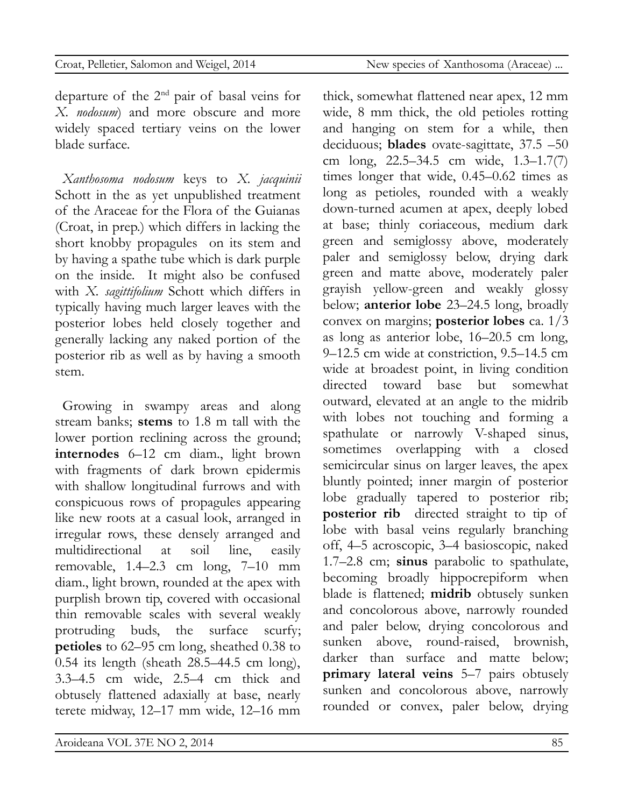thick, somewhat flattened near apex, 12 mm

departure of the  $2<sup>nd</sup>$  pair of basal veins for *X. nodosum*) and more obscure and more widely spaced tertiary veins on the lower blade surface.

*Xanthosoma nodosum* keys to *X. jacquinii* Schott in the as yet unpublished treatment of the Araceae for the Flora of the Guianas (Croat, in prep.) which differs in lacking the short knobby propagules on its stem and by having a spathe tube which is dark purple on the inside. It might also be confused with *X. sagittifolium* Schott which differs in typically having much larger leaves with the posterior lobes held closely together and generally lacking any naked portion of the posterior rib as well as by having a smooth stem.

Growing in swampy areas and along stream banks; **stems** to 1.8 m tall with the lower portion reclining across the ground; **internodes** 6–12 cm diam., light brown with fragments of dark brown epidermis with shallow longitudinal furrows and with conspicuous rows of propagules appearing like new roots at a casual look, arranged in irregular rows, these densely arranged and multidirectional at soil line, easily removable, 1.4–2.3 cm long, 7–10 mm diam., light brown, rounded at the apex with purplish brown tip, covered with occasional thin removable scales with several weakly protruding buds, the surface scurfy; **petioles** to 62–95 cm long, sheathed 0.38 to 0.54 its length (sheath 28.5–44.5 cm long), 3.3–4.5 cm wide, 2.5–4 cm thick and obtusely flattened adaxially at base, nearly terete midway, 12–17 mm wide, 12–16 mm wide, 8 mm thick, the old petioles rotting and hanging on stem for a while, then deciduous; **blades** ovate-sagittate, 37.5 –50 cm long, 22.5–34.5 cm wide, 1.3–1.7(7) times longer that wide, 0.45–0.62 times as long as petioles, rounded with a weakly down-turned acumen at apex, deeply lobed at base; thinly coriaceous, medium dark green and semiglossy above, moderately paler and semiglossy below, drying dark green and matte above, moderately paler grayish yellow-green and weakly glossy below; **anterior lobe** 23–24.5 long, broadly convex on margins; **posterior lobes** ca. 1/3 as long as anterior lobe, 16–20.5 cm long, 9–12.5 cm wide at constriction, 9.5–14.5 cm wide at broadest point, in living condition directed toward base but somewhat outward, elevated at an angle to the midrib with lobes not touching and forming a spathulate or narrowly V-shaped sinus, sometimes overlapping with a closed semicircular sinus on larger leaves, the apex bluntly pointed; inner margin of posterior lobe gradually tapered to posterior rib; **posterior rib** directed straight to tip of lobe with basal veins regularly branching off, 4–5 acroscopic, 3–4 basioscopic, naked 1.7–2.8 cm; **sinus** parabolic to spathulate, becoming broadly hippocrepiform when blade is flattened; **midrib** obtusely sunken and concolorous above, narrowly rounded and paler below, drying concolorous and sunken above, round-raised, brownish, darker than surface and matte below; **primary lateral veins** 5–7 pairs obtusely sunken and concolorous above, narrowly rounded or convex, paler below, drying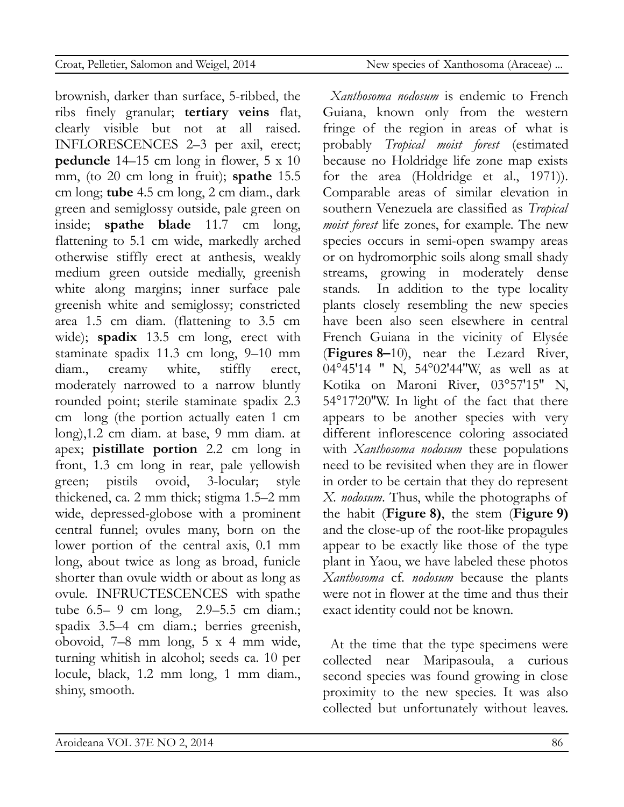clearly visible but not at all raised. INFLORESCENCES 2–3 per axil, erect; **peduncle** 14–15 cm long in flower, 5 x 10 mm, (to 20 cm long in fruit); **spathe** 15.5 cm long; **tube** 4.5 cm long, 2 cm diam., dark green and semiglossy outside, pale green on inside; **spathe blade** 11.7 cm long, flattening to 5.1 cm wide, markedly arched otherwise stiffly erect at anthesis, weakly medium green outside medially, greenish white along margins; inner surface pale greenish white and semiglossy; constricted area 1.5 cm diam. (flattening to 3.5 cm wide); **spadix** 13.5 cm long, erect with staminate spadix 11.3 cm long, 9–10 mm diam., creamy white, stiffly erect, moderately narrowed to a narrow bluntly rounded point; sterile staminate spadix 2.3 cm long (the portion actually eaten 1 cm long),1.2 cm diam. at base, 9 mm diam. at apex; **pistillate portion** 2.2 cm long in front, 1.3 cm long in rear, pale yellowish green; pistils ovoid, 3-locular; style thickened, ca. 2 mm thick; stigma 1.5–2 mm wide, depressed-globose with a prominent central funnel; ovules many, born on the lower portion of the central axis, 0.1 mm long, about twice as long as broad, funicle shorter than ovule width or about as long as ovule. INFRUCTESCENCES with spathe tube 6.5– 9 cm long, 2.9–5.5 cm diam.; spadix 3.5–4 cm diam.; berries greenish, obovoid, 7–8 mm long, 5 x 4 mm wide, turning whitish in alcohol; seeds ca. 10 per locule, black, 1.2 mm long, 1 mm diam., shiny, smooth.

brownish, darker than surface, 5-ribbed, the ribs finely granular; **tertiary veins** flat,

*Xanthosoma nodosum* is endemic to French Guiana, known only from the western fringe of the region in areas of what is probably *Tropical moist forest* (estimated because no Holdridge life zone map exists for the area (Holdridge et al., 1971)). Comparable areas of similar elevation in southern Venezuela are classified as *Tropical moist forest* life zones, for example. The new species occurs in semi-open swampy areas or on hydromorphic soils along small shady streams, growing in moderately dense stands. In addition to the type locality plants closely resembling the new species have been also seen elsewhere in central French Guiana in the vicinity of Elysée (**Figures 8–**10), near the Lezard River, 04°45'14 '' N, 54°02'44''W, as well as at Kotika on Maroni River, 03°57'15'' N, 54°17'20''W. In light of the fact that there appears to be another species with very different inflorescence coloring associated with *Xanthosoma nodosum* these populations need to be revisited when they are in flower in order to be certain that they do represent *X. nodosum*. Thus, while the photographs of the habit (**Figure 8)**, the stem (**Figure 9)** and the close-up of the root-like propagules appear to be exactly like those of the type plant in Yaou, we have labeled these photos *Xanthosoma* cf. *nodosum* because the plants were not in flower at the time and thus their exact identity could not be known.

At the time that the type specimens were collected near Maripasoula, a curious second species was found growing in close proximity to the new species. It was also collected but unfortunately without leaves.

### Croat, Pelletier, Salomon and Weigel, 2014 New species of Xanthosoma (Araceae) ...